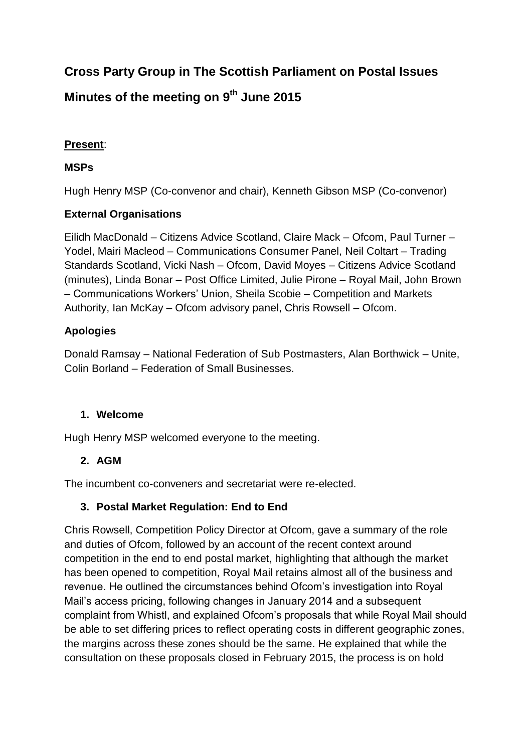# **Cross Party Group in The Scottish Parliament on Postal Issues**

# **Minutes of the meeting on 9 th June 2015**

### **Present**:

#### **MSPs**

Hugh Henry MSP (Co-convenor and chair), Kenneth Gibson MSP (Co-convenor)

#### **External Organisations**

Eilidh MacDonald – Citizens Advice Scotland, Claire Mack – Ofcom, Paul Turner – Yodel, Mairi Macleod – Communications Consumer Panel, Neil Coltart – Trading Standards Scotland, Vicki Nash – Ofcom, David Moyes – Citizens Advice Scotland (minutes), Linda Bonar – Post Office Limited, Julie Pirone – Royal Mail, John Brown – Communications Workers' Union, Sheila Scobie – Competition and Markets Authority, Ian McKay – Ofcom advisory panel, Chris Rowsell – Ofcom.

#### **Apologies**

Donald Ramsay – National Federation of Sub Postmasters, Alan Borthwick – Unite, Colin Borland – Federation of Small Businesses.

#### **1. Welcome**

Hugh Henry MSP welcomed everyone to the meeting.

## **2. AGM**

The incumbent co-conveners and secretariat were re-elected.

#### **3. Postal Market Regulation: End to End**

Chris Rowsell, Competition Policy Director at Ofcom, gave a summary of the role and duties of Ofcom, followed by an account of the recent context around competition in the end to end postal market, highlighting that although the market has been opened to competition, Royal Mail retains almost all of the business and revenue. He outlined the circumstances behind Ofcom's investigation into Royal Mail's access pricing, following changes in January 2014 and a subsequent complaint from Whistl, and explained Ofcom's proposals that while Royal Mail should be able to set differing prices to reflect operating costs in different geographic zones, the margins across these zones should be the same. He explained that while the consultation on these proposals closed in February 2015, the process is on hold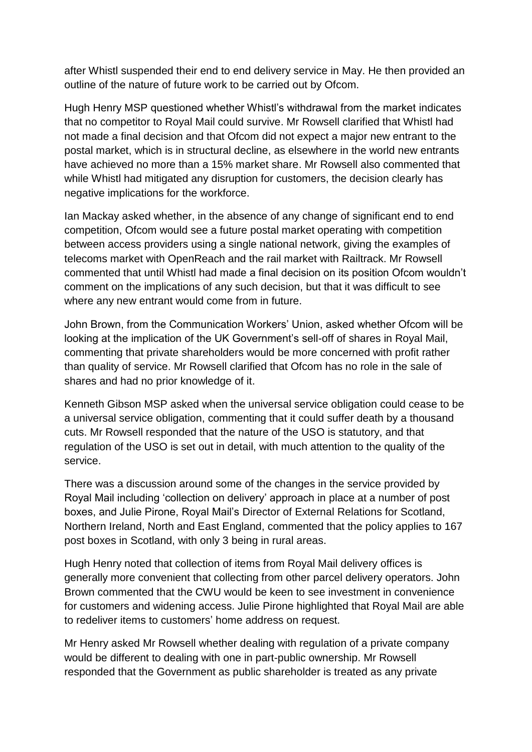after Whistl suspended their end to end delivery service in May. He then provided an outline of the nature of future work to be carried out by Ofcom.

Hugh Henry MSP questioned whether Whistl's withdrawal from the market indicates that no competitor to Royal Mail could survive. Mr Rowsell clarified that Whistl had not made a final decision and that Ofcom did not expect a major new entrant to the postal market, which is in structural decline, as elsewhere in the world new entrants have achieved no more than a 15% market share. Mr Rowsell also commented that while Whistl had mitigated any disruption for customers, the decision clearly has negative implications for the workforce.

Ian Mackay asked whether, in the absence of any change of significant end to end competition, Ofcom would see a future postal market operating with competition between access providers using a single national network, giving the examples of telecoms market with OpenReach and the rail market with Railtrack. Mr Rowsell commented that until Whistl had made a final decision on its position Ofcom wouldn't comment on the implications of any such decision, but that it was difficult to see where any new entrant would come from in future.

John Brown, from the Communication Workers' Union, asked whether Ofcom will be looking at the implication of the UK Government's sell-off of shares in Royal Mail, commenting that private shareholders would be more concerned with profit rather than quality of service. Mr Rowsell clarified that Ofcom has no role in the sale of shares and had no prior knowledge of it.

Kenneth Gibson MSP asked when the universal service obligation could cease to be a universal service obligation, commenting that it could suffer death by a thousand cuts. Mr Rowsell responded that the nature of the USO is statutory, and that regulation of the USO is set out in detail, with much attention to the quality of the service.

There was a discussion around some of the changes in the service provided by Royal Mail including 'collection on delivery' approach in place at a number of post boxes, and Julie Pirone, Royal Mail's Director of External Relations for Scotland, Northern Ireland, North and East England, commented that the policy applies to 167 post boxes in Scotland, with only 3 being in rural areas.

Hugh Henry noted that collection of items from Royal Mail delivery offices is generally more convenient that collecting from other parcel delivery operators. John Brown commented that the CWU would be keen to see investment in convenience for customers and widening access. Julie Pirone highlighted that Royal Mail are able to redeliver items to customers' home address on request.

Mr Henry asked Mr Rowsell whether dealing with regulation of a private company would be different to dealing with one in part-public ownership. Mr Rowsell responded that the Government as public shareholder is treated as any private